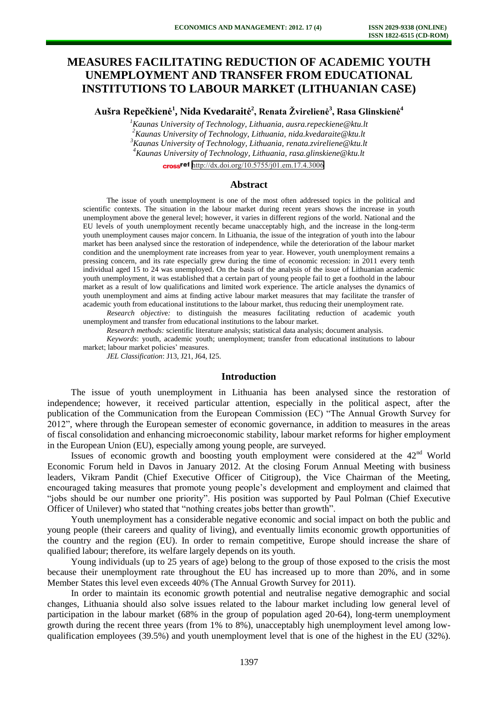# **MEASURES FACILITATING REDUCTION OF ACADEMIC YOUTH UNEMPLOYMENT AND TRANSFER FROM EDUCATIONAL INSTITUTIONS TO LABOUR MARKET (LITHUANIAN CASE)**

**Aušra Repečkienė<sup>1</sup> , Nida Kvedaraitė 2 , Renata Žvirelienė<sup>3</sup> , Rasa Glinskienė<sup>4</sup>**

*Kaunas University of Technology, Lithuania, ausra.repeckiene@ktu.lt Kaunas University of Technology, Lithuania, nida.kvedaraite@ktu.lt Kaunas University of Technology, Lithuania, renata.zvireliene@ktu.lt Kaunas University of Technology, Lithuania, rasa.glinskiene@ktu.lt* 

cross<sup>ref</sup> <http://dx.doi.org/10.5755/j01.em.17.4.3006>

#### **Abstract**

The issue of youth unemployment is one of the most often addressed topics in the political and scientific contexts. The situation in the labour market during recent years shows the increase in youth unemployment above the general level; however, it varies in different regions of the world. National and the EU levels of youth unemployment recently became unacceptably high, and the increase in the long-term youth unemployment causes major concern. In Lithuania, the issue of the integration of youth into the labour market has been analysed since the restoration of independence, while the deterioration of the labour market condition and the unemployment rate increases from year to year. However, youth unemployment remains a pressing concern, and its rate especially grew during the time of economic recession: in 2011 every tenth individual aged 15 to 24 was unemployed. On the basis of the analysis of the issue of Lithuanian academic youth unemployment, it was established that a certain part of young people fail to get a foothold in the labour market as a result of low qualifications and limited work experience. The article analyses the dynamics of youth unemployment and aims at finding active labour market measures that may facilitate the transfer of academic youth from educational institutions to the labour market, thus reducing their unemployment rate.

*Research objectiv*e*:* to distinguish the measures facilitating reduction of academic youth unemployment and transfer from educational institutions to the labour market.

*Research methods:* scientific literature analysis; statistical data analysis; document analysis.

*Keywords*: youth, academic youth; unemployment; transfer from educational institutions to labour market; labour market policies' measures.

*JEL Classification*: J13, J21, J64, I25.

## **Introduction**

The issue of youth unemployment in Lithuania has been analysed since the restoration of independence; however, it received particular attention, especially in the political aspect, after the publication of the Communication from the European Commission (EC) "The Annual Growth Survey for 2012", where through the European semester of economic governance, in addition to measures in the areas of fiscal consolidation and enhancing microeconomic stability, labour market reforms for higher employment in the European Union (EU), especially among young people, are surveyed.

Issues of economic growth and boosting youth employment were considered at the  $42<sup>nd</sup>$  World Economic Forum held in Davos in January 2012. At the closing Forum Annual Meeting with business leaders, Vikram Pandit (Chief Executive Officer of Citigroup), the Vice Chairman of the Meeting, encouraged taking measures that promote young people's development and employment and claimed that "jobs should be our number one priority". His position was supported by Paul Polman (Chief Executive Officer of Unilever) who stated that "nothing creates jobs better than growth".

Youth unemployment has a considerable negative economic and social impact on both the public and young people (their careers and quality of living), and eventually limits economic growth opportunities of the country and the region (EU). In order to remain competitive, Europe should increase the share of qualified labour; therefore, its welfare largely depends on its youth.

Young individuals (up to 25 years of age) belong to the group of those exposed to the crisis the most because their unemployment rate throughout the EU has increased up to more than 20%, and in some Member States this level even exceeds 40% (The Annual Growth Survey for 2011).

In order to maintain its economic growth potential and neutralise negative demographic and social changes, Lithuania should also solve issues related to the labour market including low general level of participation in the labour market (68% in the group of population aged 20-64), long-term unemployment growth during the recent three years (from 1% to 8%), unacceptably high unemployment level among lowqualification employees (39.5%) and youth unemployment level that is one of the highest in the EU (32%).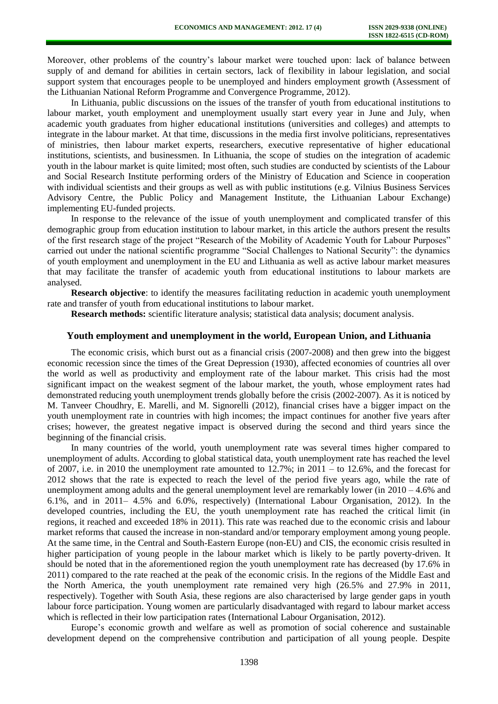Moreover, other problems of the country's labour market were touched upon: lack of balance between supply of and demand for abilities in certain sectors, lack of flexibility in labour legislation, and social support system that encourages people to be unemployed and hinders employment growth (Assessment of the Lithuanian National Reform Programme and Convergence Programme, 2012).

In Lithuania, public discussions on the issues of the transfer of youth from educational institutions to labour market, youth employment and unemployment usually start every year in June and July, when academic youth graduates from higher educational institutions (universities and colleges) and attempts to integrate in the labour market. At that time, discussions in the media first involve politicians, representatives of ministries, then labour market experts, researchers, executive representative of higher educational institutions, scientists, and businessmen. In Lithuania, the scope of studies on the integration of academic youth in the labour market is quite limited; most often, such studies are conducted by scientists of the Labour and Social Research Institute performing orders of the Ministry of Education and Science in cooperation with individual scientists and their groups as well as with public institutions (e.g. Vilnius Business Services Advisory Centre, the Public Policy and Management Institute, the Lithuanian Labour Exchange) implementing EU-funded projects.

In response to the relevance of the issue of youth unemployment and complicated transfer of this demographic group from education institution to labour market, in this article the authors present the results of the first research stage of the project "Research of the Mobility of Academic Youth for Labour Purposes" carried out under the national scientific programme "Social Challenges to National Security": the dynamics of youth employment and unemployment in the EU and Lithuania as well as active labour market measures that may facilitate the transfer of academic youth from educational institutions to labour markets are analysed.

**Research objective**: to identify the measures facilitating reduction in academic youth unemployment rate and transfer of youth from educational institutions to labour market.

**Research methods:** scientific literature analysis; statistical data analysis; document analysis.

### **Youth employment and unemployment in the world, European Union, and Lithuania**

The economic crisis, which burst out as a financial crisis (2007-2008) and then grew into the biggest economic recession since the times of the Great Depression (1930), affected economies of countries all over the world as well as productivity and employment rate of the labour market. This crisis had the most significant impact on the weakest segment of the labour market, the youth, whose employment rates had demonstrated reducing youth unemployment trends globally before the crisis (2002-2007). As it is noticed by M. Tanveer Choudhry, E. Marelli, and M. Signorelli (2012), financial crises have a bigger impact on the youth unemployment rate in countries with high incomes; the impact continues for another five years after crises; however, the greatest negative impact is observed during the second and third years since the beginning of the financial crisis.

In many countries of the world, youth unemployment rate was several times higher compared to unemployment of adults. According to global statistical data, youth unemployment rate has reached the level of 2007, i.e. in 2010 the unemployment rate amounted to  $12.7\%$ ; in  $2011 -$  to  $12.6\%$ , and the forecast for 2012 shows that the rate is expected to reach the level of the period five years ago, while the rate of unemployment among adults and the general unemployment level are remarkably lower (in  $2010 - 4.6\%$  and 6.1%, and in 2011– 4.5% and 6.0%, respectively) (International Labour Organisation, 2012). In the developed countries, including the EU, the youth unemployment rate has reached the critical limit (in regions, it reached and exceeded 18% in 2011). This rate was reached due to the economic crisis and labour market reforms that caused the increase in non-standard and/or temporary employment among young people. At the same time, in the Central and South-Eastern Europe (non-EU) and CIS, the economic crisis resulted in higher participation of young people in the labour market which is likely to be partly poverty-driven. It should be noted that in the aforementioned region the youth unemployment rate has decreased (by 17.6% in 2011) compared to the rate reached at the peak of the economic crisis. In the regions of the Middle East and the North America, the youth unemployment rate remained very high (26.5% and 27.9% in 2011, respectively). Together with South Asia, these regions are also characterised by large gender gaps in youth labour force participation. Young women are particularly disadvantaged with regard to labour market access which is reflected in their low participation rates (International Labour Organisation, 2012).

Europe's economic growth and welfare as well as promotion of social coherence and sustainable development depend on the comprehensive contribution and participation of all young people. Despite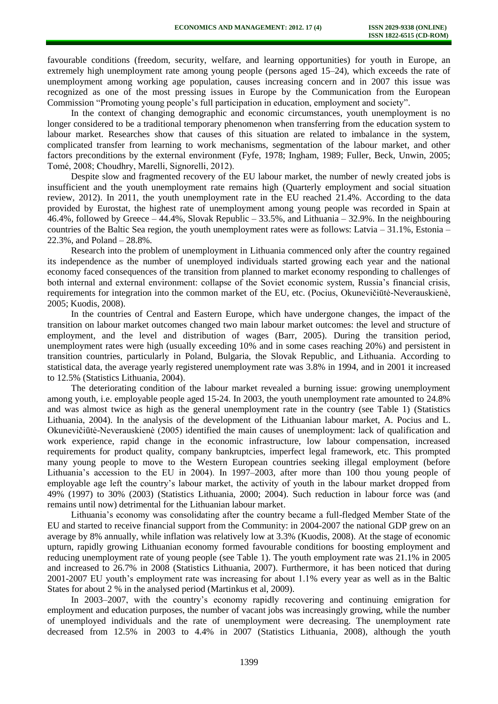favourable conditions (freedom, security, welfare, and learning opportunities) for youth in Europe, an extremely high unemployment rate among young people (persons aged 15–24), which exceeds the rate of unemployment among working age population, causes increasing concern and in 2007 this issue was recognized as one of the most pressing issues in Europe by the Communication from the European Commission "Promoting young people's full participation in education, employment and society".

In the context of changing demographic and economic circumstances, youth unemployment is no longer considered to be a traditional temporary phenomenon when transferring from the education system to labour market. Researches show that causes of this situation are related to imbalance in the system, complicated transfer from learning to work mechanisms, segmentation of the labour market, and other factors preconditions by the external environment (Fyfe, 1978; Ingham, 1989; Fuller, Beck, Unwin, 2005; Tomé, 2008; Choudhry, Marelli, Signorelli, 2012).

Despite slow and fragmented recovery of the EU labour market, the number of newly created jobs is insufficient and the youth unemployment rate remains high (Quarterly employment and social situation review, 2012). In 2011, the youth unemployment rate in the EU reached 21.4%. According to the data provided by Eurostat, the highest rate of unemployment among young people was recorded in Spain at 46.4%, followed by Greece – 44.4%, Slovak Republic – 33.5%, and Lithuania – 32.9%. In the neighbouring countries of the Baltic Sea region, the youth unemployment rates were as follows: Latvia – 31.1%, Estonia – 22.3%, and Poland – 28.8%.

Research into the problem of unemployment in Lithuania commenced only after the country regained its independence as the number of unemployed individuals started growing each year and the national economy faced consequences of the transition from planned to market economy responding to challenges of both internal and external environment: collapse of the Soviet economic system, Russia's financial crisis, requirements for integration into the common market of the EU, etc. (Pocius, Okunevičiūtė-Neverauskienė, 2005; Kuodis, 2008).

In the countries of Central and Eastern Europe, which have undergone changes, the impact of the transition on labour market outcomes changed two main labour market outcomes: the level and structure of employment, and the level and distribution of wages (Barr, 2005). During the transition period, unemployment rates were high (usually exceeding 10% and in some cases reaching 20%) and persistent in transition countries, particularly in Poland, Bulgaria, the Slovak Republic, and Lithuania. According to statistical data, the average yearly registered unemployment rate was 3.8% in 1994, and in 2001 it increased to 12.5% (Statistics Lithuania, 2004).

The deteriorating condition of the labour market revealed a burning issue: growing unemployment among youth, i.e. employable people aged 15-24. In 2003, the youth unemployment rate amounted to 24.8% and was almost twice as high as the general unemployment rate in the country (see Table 1) (Statistics Lithuania, 2004). In the analysis of the development of the Lithuanian labour market, A. Pocius and L. Okunevičiūtė-Neverauskienė (2005) identified the main causes of unemployment: lack of qualification and work experience, rapid change in the economic infrastructure, low labour compensation, increased requirements for product quality, company bankruptcies, imperfect legal framework, etc. This prompted many young people to move to the Western European countries seeking illegal employment (before Lithuania's accession to the EU in 2004). In 1997–2003, after more than 100 thou young people of employable age left the country's labour market, the activity of youth in the labour market dropped from 49% (1997) to 30% (2003) (Statistics Lithuania, 2000; 2004). Such reduction in labour force was (and remains until now) detrimental for the Lithuanian labour market.

Lithuania's economy was consolidating after the country became a full-fledged Member State of the EU and started to receive financial support from the Community: in 2004-2007 the national GDP grew on an average by 8% annually, while inflation was relatively low at 3.3% (Kuodis, 2008). At the stage of economic upturn, rapidly growing Lithuanian economy formed favourable conditions for boosting employment and reducing unemployment rate of young people (see Table 1). The youth employment rate was 21.1% in 2005 and increased to 26.7% in 2008 (Statistics Lithuania, 2007). Furthermore, it has been noticed that during 2001-2007 EU youth's employment rate was increasing for about 1.1% every year as well as in the Baltic States for about 2 % in the analysed period (Martinkus et al, 2009).

In 2003–2007, with the country's economy rapidly recovering and continuing emigration for employment and education purposes, the number of vacant jobs was increasingly growing, while the number of unemployed individuals and the rate of unemployment were decreasing. The unemployment rate decreased from 12.5% in 2003 to 4.4% in 2007 (Statistics Lithuania, 2008), although the youth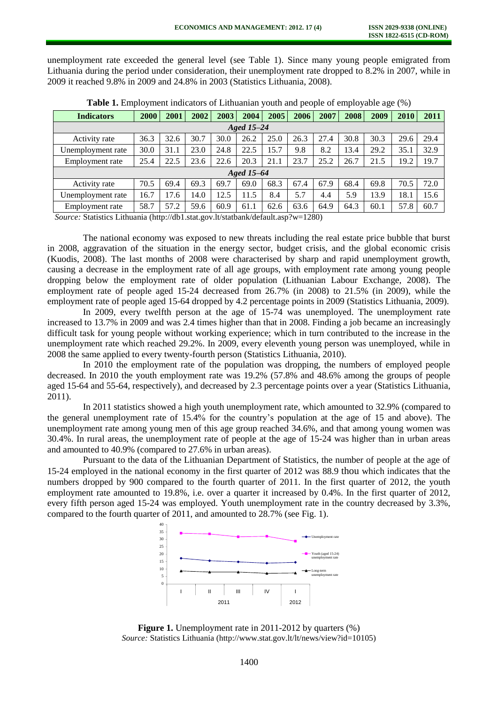unemployment rate exceeded the general level (see Table 1). Since many young people emigrated from Lithuania during the period under consideration, their unemployment rate dropped to 8.2% in 2007, while in 2009 it reached 9.8% in 2009 and 24.8% in 2003 (Statistics Lithuania, 2008).

| <b>Indicators</b> | 2000 | 2001 | 2002 | 2003 | 2004 | 2005 | 2006 | 2007 | 2008 | 2009 | 2010 | 2011 |
|-------------------|------|------|------|------|------|------|------|------|------|------|------|------|
| Aged 15-24        |      |      |      |      |      |      |      |      |      |      |      |      |
| Activity rate     | 36.3 | 32.6 | 30.7 | 30.0 | 26.2 | 25.0 | 26.3 | 27.4 | 30.8 | 30.3 | 29.6 | 29.4 |
| Unemployment rate | 30.0 | 31.1 | 23.0 | 24.8 | 22.5 | 15.7 | 9.8  | 8.2  | 13.4 | 29.2 | 35.1 | 32.9 |
| Employment rate   | 25.4 | 22.5 | 23.6 | 22.6 | 20.3 | 21.1 | 23.7 | 25.2 | 26.7 | 21.5 | 19.2 | 19.7 |
| Aged 15-64        |      |      |      |      |      |      |      |      |      |      |      |      |
| Activity rate     | 70.5 | 69.4 | 69.3 | 69.7 | 69.0 | 68.3 | 67.4 | 67.9 | 68.4 | 69.8 | 70.5 | 72.0 |
| Unemployment rate | 16.7 | 17.6 | 14.0 | 12.5 | 11.5 | 8.4  | 5.7  | 4.4  | 5.9  | 13.9 | 18.1 | 15.6 |
| Employment rate   | 58.7 | 57.2 | 59.6 | 60.9 | 61.1 | 62.6 | 63.6 | 64.9 | 64.3 | 60.1 | 57.8 | 60.7 |

**Table 1.** Employment indicators of Lithuanian youth and people of employable age (%)

*Source:* Statistics Lithuania (http://db1.stat.gov.lt/statbank/default.asp?w=1280)

The national economy was exposed to new threats including the real estate price bubble that burst in 2008, aggravation of the situation in the energy sector, budget crisis, and the global economic crisis (Kuodis, 2008). The last months of 2008 were characterised by sharp and rapid unemployment growth, causing a decrease in the employment rate of all age groups, with employment rate among young people dropping below the employment rate of older population (Lithuanian Labour Exchange, 2008). The employment rate of people aged 15-24 decreased from 26.7% (in 2008) to 21.5% (in 2009), while the employment rate of people aged 15-64 dropped by 4.2 percentage points in 2009 (Statistics Lithuania, 2009).

In 2009, every twelfth person at the age of 15-74 was unemployed. The unemployment rate increased to 13.7% in 2009 and was 2.4 times higher than that in 2008. Finding a job became an increasingly difficult task for young people without working experience; which in turn contributed to the increase in the unemployment rate which reached 29.2%. In 2009, every eleventh young person was unemployed, while in 2008 the same applied to every twenty-fourth person (Statistics Lithuania, 2010).

In 2010 the employment rate of the population was dropping, the numbers of employed people decreased. In 2010 the youth employment rate was 19.2% (57.8% and 48.6% among the groups of people aged 15-64 and 55-64, respectively), and decreased by 2.3 percentage points over a year (Statistics Lithuania, 2011).

In 2011 statistics showed a high youth unemployment rate, which amounted to 32.9% (compared to the general unemployment rate of 15.4% for the country's population at the age of 15 and above). The unemployment rate among young men of this age group reached 34.6%, and that among young women was 30.4%. In rural areas, the unemployment rate of people at the age of 15-24 was higher than in urban areas and amounted to 40.9% (compared to 27.6% in urban areas).

Pursuant to the data of the Lithuanian Department of Statistics, the number of people at the age of 15-24 employed in the national economy in the first quarter of 2012 was 88.9 thou which indicates that the numbers dropped by 900 compared to the fourth quarter of 2011. In the first quarter of 2012, the youth employment rate amounted to 19.8%, i.e. over a quarter it increased by 0.4%. In the first quarter of 2012, every fifth person aged 15-24 was employed. Youth unemployment rate in the country decreased by 3.3%, compared to the fourth quarter of 2011, and amounted to 28.7% (see Fig. 1).



**Figure 1.** Unemployment rate in 2011-2012 by quarters  $(\%)$ *Source:* Statistics Lithuania (http://www.stat.gov.lt/lt/news/view?id=10105)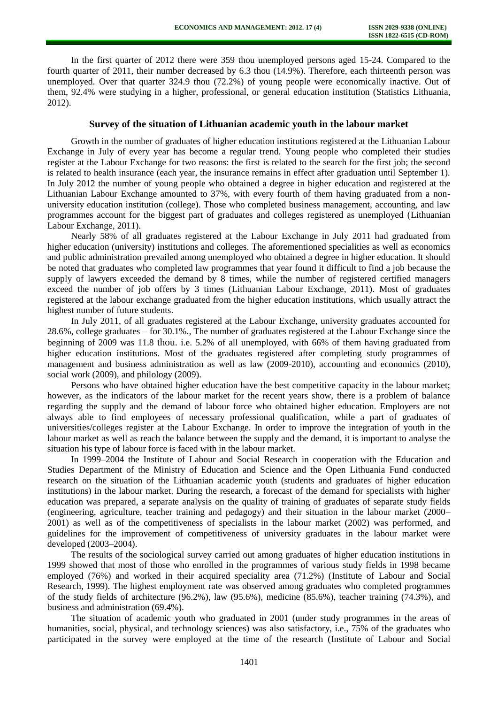In the first quarter of 2012 there were 359 thou unemployed persons aged 15-24. Compared to the fourth quarter of 2011, their number decreased by 6.3 thou (14.9%). Therefore, each thirteenth person was unemployed. Over that quarter 324.9 thou (72.2%) of young people were economically inactive. Out of them, 92.4% were studying in a higher, professional, or general education institution (Statistics Lithuania, 2012).

## **Survey of the situation of Lithuanian academic youth in the labour market**

Growth in the number of graduates of higher education institutions registered at the Lithuanian Labour Exchange in July of every year has become a regular trend. Young people who completed their studies register at the Labour Exchange for two reasons: the first is related to the search for the first job; the second is related to health insurance (each year, the insurance remains in effect after graduation until September 1). In July 2012 the number of young people who obtained a degree in higher education and registered at the Lithuanian Labour Exchange amounted to 37%, with every fourth of them having graduated from a nonuniversity education institution (college). Those who completed business management, accounting, and law programmes account for the biggest part of graduates and colleges registered as unemployed (Lithuanian Labour Exchange, 2011).

Nearly 58% of all graduates registered at the Labour Exchange in July 2011 had graduated from higher education (university) institutions and colleges. The aforementioned specialities as well as economics and public administration prevailed among unemployed who obtained a degree in higher education. It should be noted that graduates who completed law programmes that year found it difficult to find a job because the supply of lawyers exceeded the demand by 8 times, while the number of registered certified managers exceed the number of job offers by 3 times (Lithuanian Labour Exchange, 2011). Most of graduates registered at the labour exchange graduated from the higher education institutions, which usually attract the highest number of future students.

In July 2011, of all graduates registered at the Labour Exchange, university graduates accounted for 28.6%, college graduates – for 30.1%., The number of graduates registered at the Labour Exchange since the beginning of 2009 was 11.8 thou. i.e. 5.2% of all unemployed, with 66% of them having graduated from higher education institutions. Most of the graduates registered after completing study programmes of management and business administration as well as law (2009-2010), accounting and economics (2010), social work (2009), and philology (2009).

Persons who have obtained higher education have the best competitive capacity in the labour market; however, as the indicators of the labour market for the recent years show, there is a problem of balance regarding the supply and the demand of labour force who obtained higher education. Employers are not always able to find employees of necessary professional qualification, while a part of graduates of universities/colleges register at the Labour Exchange. In order to improve the integration of youth in the labour market as well as reach the balance between the supply and the demand, it is important to analyse the situation his type of labour force is faced with in the labour market.

In 1999–2004 the Institute of Labour and Social Research in cooperation with the Education and Studies Department of the Ministry of Education and Science and the Open Lithuania Fund conducted research on the situation of the Lithuanian academic youth (students and graduates of higher education institutions) in the labour market. During the research, a forecast of the demand for specialists with higher education was prepared, a separate analysis on the quality of training of graduates of separate study fields (engineering, agriculture, teacher training and pedagogy) and their situation in the labour market (2000– 2001) as well as of the competitiveness of specialists in the labour market (2002) was performed, and guidelines for the improvement of competitiveness of university graduates in the labour market were developed (2003–2004).

The results of the sociological survey carried out among graduates of higher education institutions in 1999 showed that most of those who enrolled in the programmes of various study fields in 1998 became employed (76%) and worked in their acquired speciality area (71.2%) (Institute of Labour and Social Research, 1999). The highest employment rate was observed among graduates who completed programmes of the study fields of architecture (96.2%), law (95.6%), medicine (85.6%), teacher training (74.3%), and business and administration (69.4%).

The situation of academic youth who graduated in 2001 (under study programmes in the areas of humanities, social, physical, and technology sciences) was also satisfactory, i.e., 75% of the graduates who participated in the survey were employed at the time of the research (Institute of Labour and Social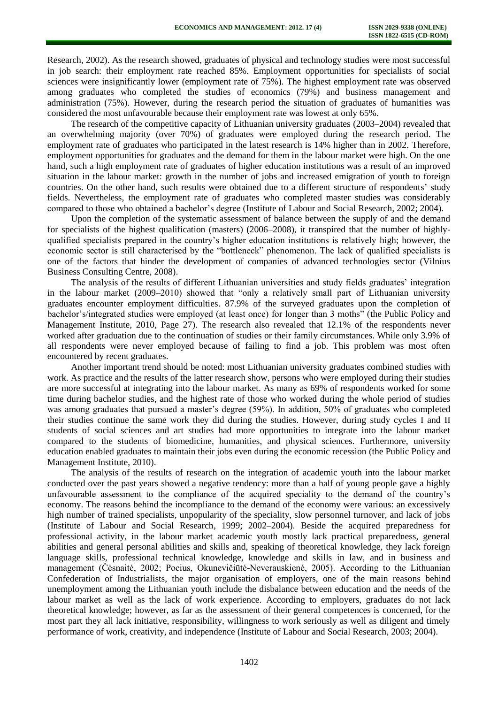Research, 2002). As the research showed, graduates of physical and technology studies were most successful in job search: their employment rate reached 85%. Employment opportunities for specialists of social sciences were insignificantly lower (employment rate of 75%). The highest employment rate was observed among graduates who completed the studies of economics (79%) and business management and administration (75%). However, during the research period the situation of graduates of humanities was considered the most unfavourable because their employment rate was lowest at only 65%.

The research of the competitive capacity of Lithuanian university graduates (2003–2004) revealed that an overwhelming majority (over 70%) of graduates were employed during the research period. The employment rate of graduates who participated in the latest research is 14% higher than in 2002. Therefore, employment opportunities for graduates and the demand for them in the labour market were high. On the one hand, such a high employment rate of graduates of higher education institutions was a result of an improved situation in the labour market: growth in the number of jobs and increased emigration of youth to foreign countries. On the other hand, such results were obtained due to a different structure of respondents' study fields. Nevertheless, the employment rate of graduates who completed master studies was considerably compared to those who obtained a bachelor's degree (Institute of Labour and Social Research, 2002; 2004).

Upon the completion of the systematic assessment of balance between the supply of and the demand for specialists of the highest qualification (masters) (2006–2008), it transpired that the number of highlyqualified specialists prepared in the country's higher education institutions is relatively high; however, the economic sector is still characterised by the "bottleneck" phenomenon. The lack of qualified specialists is one of the factors that hinder the development of companies of advanced technologies sector (Vilnius Business Consulting Centre, 2008).

The analysis of the results of different Lithuanian universities and study fields graduates' integration in the labour market (2009–2010) showed that "only a relatively small part of Lithuanian university graduates encounter employment difficulties. 87.9% of the surveyed graduates upon the completion of bachelor's/integrated studies were employed (at least once) for longer than 3 moths" (the Public Policy and Management Institute, 2010, Page 27). The research also revealed that 12.1% of the respondents never worked after graduation due to the continuation of studies or their family circumstances. While only 3.9% of all respondents were never employed because of failing to find a job. This problem was most often encountered by recent graduates.

Another important trend should be noted: most Lithuanian university graduates combined studies with work. As practice and the results of the latter research show, persons who were employed during their studies are more successful at integrating into the labour market. As many as 69% of respondents worked for some time during bachelor studies, and the highest rate of those who worked during the whole period of studies was among graduates that pursued a master's degree (59%). In addition, 50% of graduates who completed their studies continue the same work they did during the studies. However, during study cycles I and II students of social sciences and art studies had more opportunities to integrate into the labour market compared to the students of biomedicine, humanities, and physical sciences. Furthermore, university education enabled graduates to maintain their jobs even during the economic recession (the Public Policy and Management Institute, 2010).

The analysis of the results of research on the integration of academic youth into the labour market conducted over the past years showed a negative tendency: more than a half of young people gave a highly unfavourable assessment to the compliance of the acquired speciality to the demand of the country's economy. The reasons behind the incompliance to the demand of the economy were various: an excessively high number of trained specialists, unpopularity of the speciality, slow personnel turnover, and lack of jobs (Institute of Labour and Social Research, 1999; 2002–2004). Beside the acquired preparedness for professional activity, in the labour market academic youth mostly lack practical preparedness, general abilities and general personal abilities and skills and, speaking of theoretical knowledge, they lack foreign language skills, professional technical knowledge, knowledge and skills in law, and in business and management (Čėsnaitė, 2002; Pocius, Okunevičiūtė-Neverauskienė, 2005). According to the Lithuanian Confederation of Industrialists, the major organisation of employers, one of the main reasons behind unemployment among the Lithuanian youth include the disbalance between education and the needs of the labour market as well as the lack of work experience. According to employers, graduates do not lack theoretical knowledge; however, as far as the assessment of their general competences is concerned, for the most part they all lack initiative, responsibility, willingness to work seriously as well as diligent and timely performance of work, creativity, and independence (Institute of Labour and Social Research, 2003; 2004).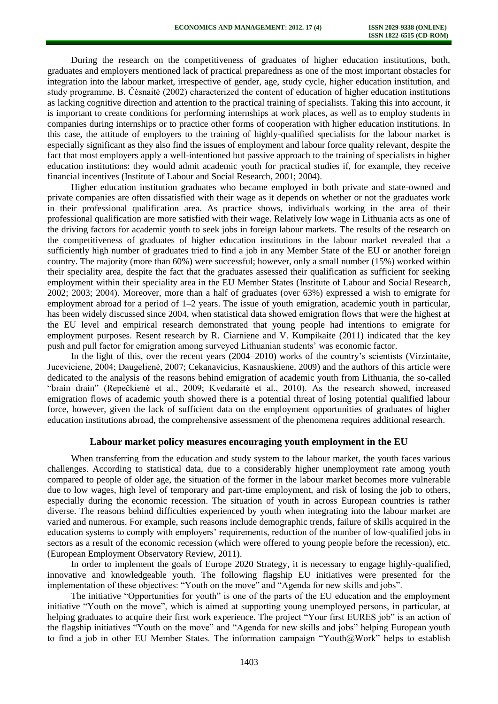During the research on the competitiveness of graduates of higher education institutions, both, graduates and employers mentioned lack of practical preparedness as one of the most important obstacles for integration into the labour market, irrespective of gender, age, study cycle, higher education institution, and study programme. B. Čėsnaitė (2002) characterized the content of education of higher education institutions as lacking cognitive direction and attention to the practical training of specialists. Taking this into account, it is important to create conditions for performing internships at work places, as well as to employ students in companies during internships or to practice other forms of cooperation with higher education institutions. In this case, the attitude of employers to the training of highly-qualified specialists for the labour market is especially significant as they also find the issues of employment and labour force quality relevant, despite the fact that most employers apply a well-intentioned but passive approach to the training of specialists in higher education institutions: they would admit academic youth for practical studies if, for example, they receive financial incentives (Institute of Labour and Social Research, 2001; 2004).

Higher education institution graduates who became employed in both private and state-owned and private companies are often dissatisfied with their wage as it depends on whether or not the graduates work in their professional qualification area. As practice shows, individuals working in the area of their professional qualification are more satisfied with their wage. Relatively low wage in Lithuania acts as one of the driving factors for academic youth to seek jobs in foreign labour markets. The results of the research on the competitiveness of graduates of higher education institutions in the labour market revealed that a sufficiently high number of graduates tried to find a job in any Member State of the EU or another foreign country. The majority (more than 60%) were successful; however, only a small number (15%) worked within their speciality area, despite the fact that the graduates assessed their qualification as sufficient for seeking employment within their speciality area in the EU Member States (Institute of Labour and Social Research, 2002; 2003; 2004). Moreover, more than a half of graduates (over 63%) expressed a wish to emigrate for employment abroad for a period of 1–2 years. The issue of youth emigration, academic youth in particular, has been widely discussed since 2004, when statistical data showed emigration flows that were the highest at the EU level and empirical research demonstrated that young people had intentions to emigrate for employment purposes. Resent research by R. Ciarniene and V. Kumpikaite (2011) indicated that the key push and pull factor for emigration among surveyed Lithuanian students' was economic factor.

In the light of this, over the recent years (2004–2010) works of the country's scientists (Virzintaite, Juceviciene, 2004; Daugelienė, 2007; Cekanavicius, Kasnauskiene, 2009) and the authors of this article were dedicated to the analysis of the reasons behind emigration of academic youth from Lithuania, the so-called "brain drain" (Repečkienė et al., 2009; Kvedaraitė et al., 2010). As the research showed, increased emigration flows of academic youth showed there is a potential threat of losing potential qualified labour force, however, given the lack of sufficient data on the employment opportunities of graduates of higher education institutions abroad, the comprehensive assessment of the phenomena requires additional research.

# **Labour market policy measures encouraging youth employment in the EU**

When transferring from the education and study system to the labour market, the youth faces various challenges. According to statistical data, due to a considerably higher unemployment rate among youth compared to people of older age, the situation of the former in the labour market becomes more vulnerable due to low wages, high level of temporary and part-time employment, and risk of losing the job to others, especially during the economic recession. The situation of youth in across European countries is rather diverse. The reasons behind difficulties experienced by youth when integrating into the labour market are varied and numerous. For example, such reasons include demographic trends, failure of skills acquired in the education systems to comply with employers' requirements, reduction of the number of low-qualified jobs in sectors as a result of the economic recession (which were offered to young people before the recession), etc. (European Employment Observatory Review, 2011).

In order to implement the goals of Europe 2020 Strategy, it is necessary to engage highly-qualified, innovative and knowledgeable youth. The following flagship EU initiatives were presented for the implementation of these objectives: "Youth on the move" and "Agenda for new skills and jobs".

The initiative "Opportunities for youth" is one of the parts of the EU education and the employment initiative "Youth on the move", which is aimed at supporting young unemployed persons, in particular, at helping graduates to acquire their first work experience. The project "Your first EURES job" is an action of the flagship initiatives "Youth on the move" and "Agenda for new skills and jobs" helping European youth to find a job in other EU Member States. The information campaign "Youth@Work" helps to establish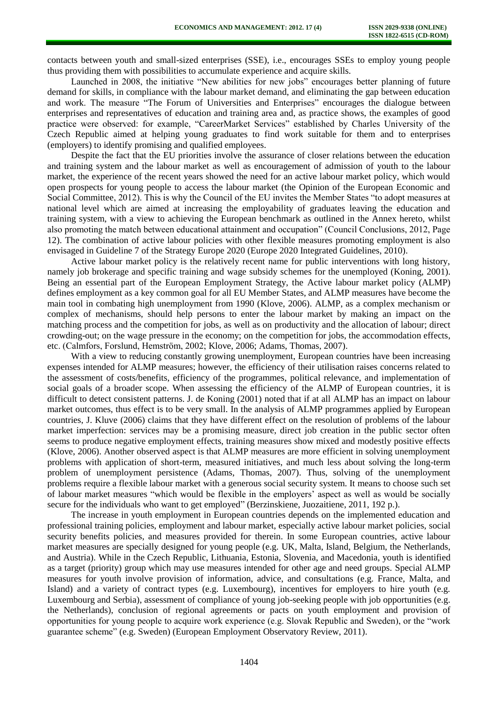contacts between youth and small-sized enterprises (SSE), i.e., encourages SSEs to employ young people thus providing them with possibilities to accumulate experience and acquire skills.

Launched in 2008, the initiative "New abilities for new jobs" encourages better planning of future demand for skills, in compliance with the labour market demand, and eliminating the gap between education and work. The measure "The Forum of Universities and Enterprises" encourages the dialogue between enterprises and representatives of education and training area and, as practice shows, the examples of good practice were observed: for example, "CareerMarket Services" established by Charles University of the Czech Republic aimed at helping young graduates to find work suitable for them and to enterprises (employers) to identify promising and qualified employees.

Despite the fact that the EU priorities involve the assurance of closer relations between the education and training system and the labour market as well as encouragement of admission of youth to the labour market, the experience of the recent years showed the need for an active labour market policy, which would open prospects for young people to access the labour market (the Opinion of the European Economic and Social Committee, 2012). This is why the Council of the EU invites the Member States "to adopt measures at national level which are aimed at increasing the employability of graduates leaving the education and training system, with a view to achieving the European benchmark as outlined in the Annex hereto, whilst also promoting the match between educational attainment and occupation" (Council Conclusions, 2012, Page 12). The combination of active labour policies with other flexible measures promoting employment is also envisaged in Guideline 7 of the Strategy Europe 2020 (Europe 2020 Integrated Guidelines, 2010).

Active labour market policy is the relatively recent name for public interventions with long history, namely job brokerage and specific training and wage subsidy schemes for the unemployed (Koning, 2001). Being an essential part of the European Employment Strategy, the Active labour market policy (ALMP) defines employment as a key common goal for all EU Member States, and ALMP measures have become the main tool in combating high unemployment from 1990 (Klove, 2006). ALMP, as a complex mechanism or complex of mechanisms, should help persons to enter the labour market by making an impact on the matching process and the competition for jobs, as well as on productivity and the allocation of labour; direct crowding-out; on the wage pressure in the economy; on the competition for jobs, the accommodation effects, etc. (Calmfors, Forslund, Hemström, 2002; Klove, 2006; Adams, Thomas, 2007).

With a view to reducing constantly growing unemployment, European countries have been increasing expenses intended for ALMP measures; however, the efficiency of their utilisation raises concerns related to the assessment of costs/benefits, efficiency of the programmes, political relevance, and implementation of social goals of a broader scope. When assessing the efficiency of the ALMP of European countries, it is difficult to detect consistent patterns. J. de Koning (2001) noted that if at all ALMP has an impact on labour market outcomes, thus effect is to be very small. In the analysis of ALMP programmes applied by European countries, J. Kluve (2006) claims that they have different effect on the resolution of problems of the labour market imperfection: services may be a promising measure, direct job creation in the public sector often seems to produce negative employment effects, training measures show mixed and modestly positive effects (Klove, 2006). Another observed aspect is that ALMP measures are more efficient in solving unemployment problems with application of short-term, measured initiatives, and much less about solving the long-term problem of unemployment persistence (Adams, Thomas, 2007). Thus, solving of the unemployment problems require a flexible labour market with a generous social security system. It means to choose such set of labour market measures "which would be flexible in the employers' aspect as well as would be socially secure for the individuals who want to get employed" (Berzinskiene, Juozaitiene, 2011, 192 p.).

The increase in youth employment in European countries depends on the implemented education and professional training policies, employment and labour market, especially active labour market policies, social security benefits policies, and measures provided for therein. In some European countries, active labour market measures are specially designed for young people (e.g. UK, Malta, Island, Belgium, the Netherlands, and Austria). While in the Czech Republic, Lithuania, Estonia, Slovenia, and Macedonia, youth is identified as a target (priority) group which may use measures intended for other age and need groups. Special ALMP measures for youth involve provision of information, advice, and consultations (e.g. France, Malta, and Island) and a variety of contract types (e.g. Luxembourg), incentives for employers to hire youth (e.g. Luxembourg and Serbia), assessment of compliance of young job-seeking people with job opportunities (e.g. the Netherlands), conclusion of regional agreements or pacts on youth employment and provision of opportunities for young people to acquire work experience (e.g. Slovak Republic and Sweden), or the "work guarantee scheme" (e.g. Sweden) (European Employment Observatory Review, 2011).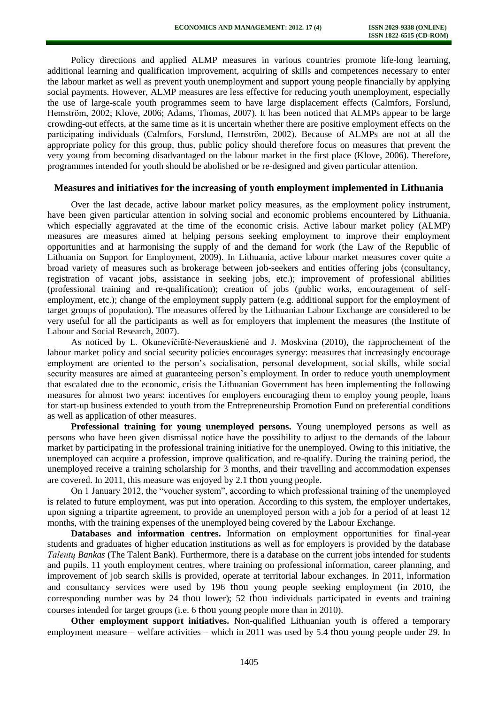Policy directions and applied ALMP measures in various countries promote life-long learning, additional learning and qualification improvement, acquiring of skills and competences necessary to enter the labour market as well as prevent youth unemployment and support young people financially by applying social payments. However, ALMP measures are less effective for reducing youth unemployment, especially the use of large-scale youth programmes seem to have large displacement effects (Calmfors, Forslund, Hemström, 2002; Klove, 2006; Adams, Thomas, 2007). It has been noticed that ALMPs appear to be large crowding-out effects, at the same time as it is uncertain whether there are positive employment effects on the participating individuals (Calmfors, Forslund, Hemström, 2002). Because of ALMPs are not at all the appropriate policy for this group, thus, public policy should therefore focus on measures that prevent the very young from becoming disadvantaged on the labour market in the first place (Klove, 2006). Therefore, programmes intended for youth should be abolished or be re-designed and given particular attention.

# **Measures and initiatives for the increasing of youth employment implemented in Lithuania**

Over the last decade, active labour market policy measures, as the employment policy instrument, have been given particular attention in solving social and economic problems encountered by Lithuania, which especially aggravated at the time of the economic crisis. Active labour market policy (ALMP) measures are measures aimed at helping persons seeking employment to improve their employment opportunities and at harmonising the supply of and the demand for work (the Law of the Republic of Lithuania on Support for Employment, 2009). In Lithuania, active labour market measures cover quite a broad variety of measures such as brokerage between job-seekers and entities offering jobs (consultancy, registration of vacant jobs, assistance in seeking jobs, etc.); improvement of professional abilities (professional training and re-qualification); creation of jobs (public works, encouragement of selfemployment, etc.); change of the employment supply pattern (e.g. additional support for the employment of target groups of population). The measures offered by the Lithuanian Labour Exchange are considered to be very useful for all the participants as well as for employers that implement the measures (the Institute of Labour and Social Research, 2007).

As noticed by L. Okunevičiūtė-Neverauskienė and J. Moskvina (2010), the rapprochement of the labour market policy and social security policies encourages synergy: measures that increasingly encourage employment are oriented to the person's socialisation, personal development, social skills, while social security measures are aimed at guaranteeing person's employment. In order to reduce youth unemployment that escalated due to the economic, crisis the Lithuanian Government has been implementing the following measures for almost two years: incentives for employers encouraging them to employ young people, loans for start-up business extended to youth from the Entrepreneurship Promotion Fund on preferential conditions as well as application of other measures.

**Professional training for young unemployed persons.** Young unemployed persons as well as persons who have been given dismissal notice have the possibility to adjust to the demands of the labour market by participating in the professional training initiative for the unemployed. Owing to this initiative, the unemployed can acquire a profession, improve qualification, and re-qualify. During the training period, the unemployed receive a training scholarship for 3 months, and their travelling and accommodation expenses are covered. In 2011, this measure was enjoyed by 2.1 thou young people.

On 1 January 2012, the "voucher system", according to which professional training of the unemployed is related to future employment, was put into operation. According to this system, the employer undertakes, upon signing a tripartite agreement, to provide an unemployed person with a job for a period of at least 12 months, with the training expenses of the unemployed being covered by the Labour Exchange.

**Databases and information centres.** Information on employment opportunities for final-year students and graduates of higher education institutions as well as for employers is provided by the database *Talentų Bankas* (The Talent Bank). Furthermore, there is a database on the current jobs intended for students and pupils. 11 youth employment centres, where training on professional information, career planning, and improvement of job search skills is provided, operate at territorial labour exchanges. In 2011, information and consultancy services were used by 196 thou young people seeking employment (in 2010, the corresponding number was by 24 thou lower); 52 thou individuals participated in events and training courses intended for target groups (i.e. 6 thou young people more than in 2010).

**Other employment support initiatives.** Non-qualified Lithuanian youth is offered a temporary employment measure – welfare activities – which in 2011 was used by 5.4 thou young people under 29. In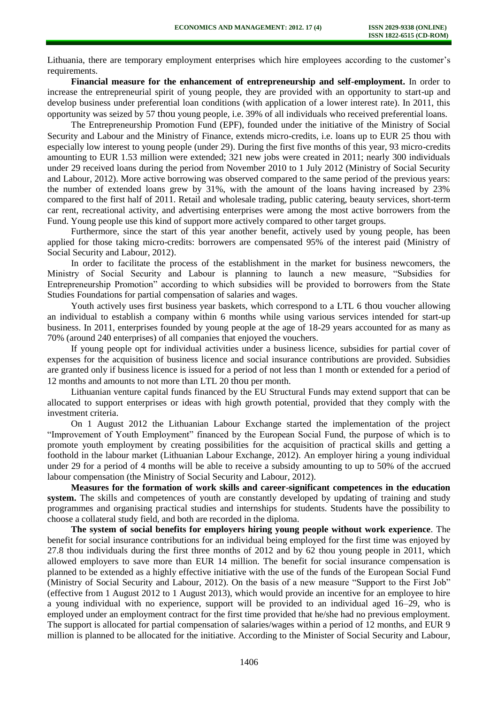Lithuania, there are temporary employment enterprises which hire employees according to the customer's requirements.

**Financial measure for the enhancement of entrepreneurship and self-employment.** In order to increase the entrepreneurial spirit of young people, they are provided with an opportunity to start-up and develop business under preferential loan conditions (with application of a lower interest rate). In 2011, this opportunity was seized by 57 thou young people, i.e. 39% of all individuals who received preferential loans.

The Entrepreneurship Promotion Fund (EPF), founded under the initiative of the Ministry of Social Security and Labour and the Ministry of Finance, extends micro-credits, i.e. loans up to EUR 25 thou with especially low interest to young people (under 29). During the first five months of this year, 93 micro-credits amounting to EUR 1.53 million were extended; 321 new jobs were created in 2011; nearly 300 individuals under 29 received loans during the period from November 2010 to 1 July 2012 (Ministry of Social Security and Labour, 2012). More active borrowing was observed compared to the same period of the previous years: the number of extended loans grew by 31%, with the amount of the loans having increased by 23% compared to the first half of 2011. Retail and wholesale trading, public catering, beauty services, short-term car rent, recreational activity, and advertising enterprises were among the most active borrowers from the Fund. Young people use this kind of support more actively compared to other target groups.

Furthermore, since the start of this year another benefit, actively used by young people, has been applied for those taking micro-credits: borrowers are compensated 95% of the interest paid (Ministry of Social Security and Labour, 2012).

In order to facilitate the process of the establishment in the market for business newcomers, the Ministry of Social Security and Labour is planning to launch a new measure, "Subsidies for Entrepreneurship Promotion" according to which subsidies will be provided to borrowers from the State Studies Foundations for partial compensation of salaries and wages.

Youth actively uses first business year baskets, which correspond to a LTL 6 thou voucher allowing an individual to establish a company within 6 months while using various services intended for start-up business. In 2011, enterprises founded by young people at the age of 18-29 years accounted for as many as 70% (around 240 enterprises) of all companies that enjoyed the vouchers.

If young people opt for individual activities under a business licence, subsidies for partial cover of expenses for the acquisition of business licence and social insurance contributions are provided. Subsidies are granted only if business licence is issued for a period of not less than 1 month or extended for a period of 12 months and amounts to not more than LTL 20 thou per month.

Lithuanian venture capital funds financed by the EU Structural Funds may extend support that can be allocated to support enterprises or ideas with high growth potential, provided that they comply with the investment criteria.

On 1 August 2012 the Lithuanian Labour Exchange started the implementation of the project "Improvement of Youth Employment" financed by the European Social Fund, the purpose of which is to promote youth employment by creating possibilities for the acquisition of practical skills and getting a foothold in the labour market (Lithuanian Labour Exchange, 2012). An employer hiring a young individual under 29 for a period of 4 months will be able to receive a subsidy amounting to up to 50% of the accrued labour compensation (the Ministry of Social Security and Labour, 2012).

**Measures for the formation of work skills and career-significant competences in the education**  system. The skills and competences of youth are constantly developed by updating of training and study programmes and organising practical studies and internships for students. Students have the possibility to choose a collateral study field, and both are recorded in the diploma.

**The system of social benefits for employers hiring young people without work experience**. The benefit for social insurance contributions for an individual being employed for the first time was enjoyed by 27.8 thou individuals during the first three months of 2012 and by 62 thou young people in 2011, which allowed employers to save more than EUR 14 million. The benefit for social insurance compensation is planned to be extended as a highly effective initiative with the use of the funds of the European Social Fund (Ministry of Social Security and Labour, 2012). On the basis of a new measure "Support to the First Job" (effective from 1 August 2012 to 1 August 2013), which would provide an incentive for an employee to hire a young individual with no experience, support will be provided to an individual aged 16–29, who is employed under an employment contract for the first time provided that he/she had no previous employment. The support is allocated for partial compensation of salaries/wages within a period of 12 months, and EUR 9 million is planned to be allocated for the initiative. According to the Minister of Social Security and Labour,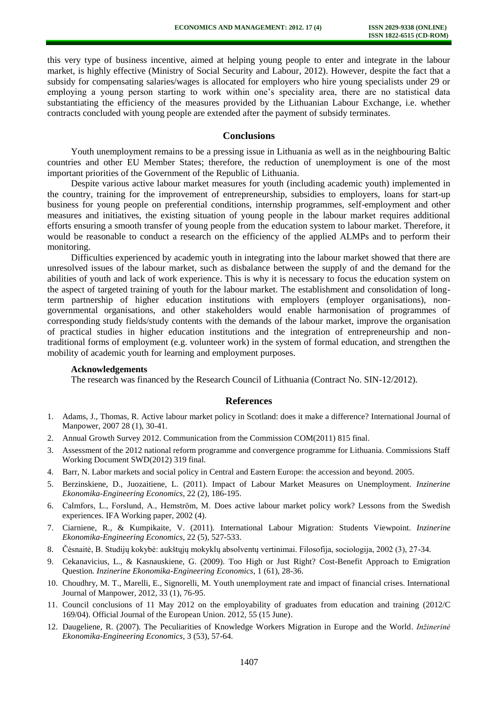this very type of business incentive, aimed at helping young people to enter and integrate in the labour market, is highly effective (Ministry of Social Security and Labour, 2012). However, despite the fact that a subsidy for compensating salaries/wages is allocated for employers who hire young specialists under 29 or employing a young person starting to work within one's speciality area, there are no statistical data substantiating the efficiency of the measures provided by the Lithuanian Labour Exchange, i.e. whether contracts concluded with young people are extended after the payment of subsidy terminates.

# **Conclusions**

Youth unemployment remains to be a pressing issue in Lithuania as well as in the neighbouring Baltic countries and other EU Member States; therefore, the reduction of unemployment is one of the most important priorities of the Government of the Republic of Lithuania.

Despite various active labour market measures for youth (including academic youth) implemented in the country, training for the improvement of entrepreneurship, subsidies to employers, loans for start-up business for young people on preferential conditions, internship programmes, self-employment and other measures and initiatives, the existing situation of young people in the labour market requires additional efforts ensuring a smooth transfer of young people from the education system to labour market. Therefore, it would be reasonable to conduct a research on the efficiency of the applied ALMPs and to perform their monitoring.

Difficulties experienced by academic youth in integrating into the labour market showed that there are unresolved issues of the labour market, such as disbalance between the supply of and the demand for the abilities of youth and lack of work experience. This is why it is necessary to focus the education system on the aspect of targeted training of youth for the labour market. The establishment and consolidation of longterm partnership of higher education institutions with employers (employer organisations), nongovernmental organisations, and other stakeholders would enable harmonisation of programmes of corresponding study fields/study contents with the demands of the labour market, improve the organisation of practical studies in higher education institutions and the integration of entrepreneurship and nontraditional forms of employment (e.g. volunteer work) in the system of formal education, and strengthen the mobility of academic youth for learning and employment purposes.

#### **Acknowledgements**

The research was financed by the Research Council of Lithuania (Contract No. SIN-12/2012).

#### **References**

- 1. Adams, J., Thomas, R. Active labour market policy in Scotland: does it make a difference? International Journal of Manpower, 2007 28 (1), 30-41.
- 2. Annual Growth Survey 2012. Communication from the Commission COM(2011) 815 final.
- 3. Assessment of the 2012 national reform programme and convergence programme for Lithuania. Commissions Staff Working Document SWD(2012) 319 final.
- 4. Barr, N. Labor markets and social policy in Central and Eastern Europe: the accession and beyond. 2005.
- 5. Berzinskiene, D., Juozaitiene, L. (2011). Impact of Labour Market Measures on Unemployment. *Inzinerine Ekonomika-Engineering Economics*, 22 (2), 186-195.
- 6. Calmfors, L., Forslund, A., Hemström, M. Does active labour market policy work? Lessons from the Swedish experiences. IFA Working paper, 2002 (4).
- 7. Ciarniene, R., & Kumpikaite, V. (2011). International Labour Migration: Students Viewpoint. *Inzinerine Ekonomika-Engineering Economics*, 22 (5), 527-533.
- 8. Čėsnaitė, B. Studijų kokybė: aukštųjų mokyklų absolventų vertinimai. Filosofija, sociologija, 2002 (3), 27-34.
- 9. Cekanavicius, L., & Kasnauskiene, G. (2009). Too High or Just Right? Cost-Benefit Approach to Emigration Question*. Inzinerine Ekonomika-Engineering Economics*, 1 (61), 28-36.
- 10. Choudhry, M. T., Marelli, E., Signorelli, M. Youth unemployment rate and impact of financial crises. International Journal of Manpower, 2012, 33 (1), 76-95.
- 11. Council conclusions of 11 May 2012 on the employability of graduates from education and training (2012/C 169/04). Official Journal of the European Union. 2012, 55 (15 June).
- 12. Daugeliene, R. (2007). The Peculiarities of Knowledge Workers Migration in Europe and the World. *Inžinerinė Ekonomika-Engineering Economics*, 3 (53), 57-64.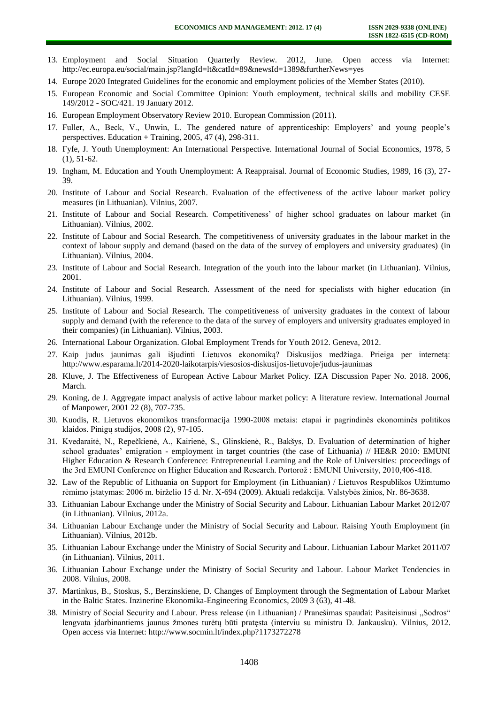- 13. Employment and Social Situation Quarterly Review. 2012, June. Open access via Internet: http://ec.europa.eu/social/main.jsp?langId=lt&catId=89&newsId=1389&furtherNews=yes
- 14. Europe 2020 Integrated Guidelines for the economic and employment policies of the Member States (2010).
- 15. European Economic and Social Committee Opinion: Youth employment, technical skills and mobility CESE 149/2012 - SOC/421. 19 January 2012.
- 16. European Employment Observatory Review 2010. European Commission (2011).
- 17. Fuller, A., Beck, V., Unwin, L. The gendered nature of apprenticeship: Employers' and young people's perspectives. Education + Training,  $2005$ ,  $47$  (4),  $298-311$ .
- 18. Fyfe, J. Youth Unemployment: An International Perspective. International Journal of Social Economics, 1978, 5 (1), 51-62.
- 19. Ingham, M. Education and Youth Unemployment: A Reappraisal. Journal of Economic Studies, 1989, 16 (3), 27- 39.
- 20. Institute of Labour and Social Research. Evaluation of the effectiveness of the active labour market policy measures (in Lithuanian). Vilnius, 2007.
- 21. Institute of Labour and Social Research. Competitiveness' of higher school graduates on labour market (in Lithuanian). Vilnius, 2002.
- 22. Institute of Labour and Social Research. The competitiveness of university graduates in the labour market in the context of labour supply and demand (based on the data of the survey of employers and university graduates) (in Lithuanian). Vilnius, 2004.
- 23. Institute of Labour and Social Research. Integration of the youth into the labour market (in Lithuanian). Vilnius, 2001.
- 24. Institute of Labour and Social Research. Assessment of the need for specialists with higher education (in Lithuanian). Vilnius, 1999.
- 25. Institute of Labour and Social Research. The competitiveness of university graduates in the context of labour supply and demand (with the reference to the data of the survey of employers and university graduates employed in their companies) (in Lithuanian). Vilnius, 2003.
- 26. International Labour Organization. Global Employment Trends for Youth 2012. Geneva, 2012.
- 27. Kaip judus jaunimas gali išjudinti Lietuvos ekonomiką? Diskusijos medžiaga. Prieiga per internetą: http://www.esparama.lt/2014-2020-laikotarpis/viesosios-diskusijos-lietuvoje/judus-jaunimas
- 28. Kluve, J. The Effectiveness of European Active Labour Market Policy. IZA Discussion Paper No. 2018. 2006, March.
- 29. Koning, de J. Aggregate impact analysis of active labour market policy: A literature review. International Journal of Manpower, 2001 22 (8), 707-735.
- 30. Kuodis, R. Lietuvos ekonomikos transformacija 1990-2008 metais: etapai ir pagrindinės ekonominės politikos klaidos. Pinigų studijos, 2008 (2), 97-105.
- 31. Kvedaraitė, N., Repečkienė, A., Kairienė, S., Glinskienė, R., Bakšys, D. Evaluation of determination of higher school graduates' emigration - employment in target countries (the case of Lithuania) // HE&R 2010: EMUNI Higher Education & Research Conference: Entrepreneurial Learning and the Role of Universities: proceedings of the 3rd EMUNI Conference on Higher Education and Research. Portorož : EMUNI University, 2010,406-418.
- 32. Law of the Republic of Lithuania on Support for Employment (in Lithuanian) / Lietuvos Respublikos Užimtumo rėmimo įstatymas: 2006 m. birželio 15 d. Nr. X-694 (2009). Aktuali redakcija. Valstybės žinios, Nr. 86-3638.
- 33. Lithuanian Labour Exchange under the Ministry of Social Security and Labour. Lithuanian Labour Market 2012/07 (in Lithuanian). Vilnius, 2012a.
- 34. Lithuanian Labour Exchange under the Ministry of Social Security and Labour. Raising Youth Employment (in Lithuanian). Vilnius, 2012b.
- 35. Lithuanian Labour Exchange under the Ministry of Social Security and Labour. Lithuanian Labour Market 2011/07 (in Lithuanian). Vilnius, 2011.
- 36. Lithuanian Labour Exchange under the Ministry of Social Security and Labour. Labour Market Tendencies in 2008. Vilnius, 2008.
- 37. Martinkus, B., Stoskus, S., Berzinskiene, D. Changes of Employment through the Segmentation of Labour Market in the Baltic States. Inzinerine Ekonomika-Engineering Economics, 2009 3 (63), 41-48.
- 38. Ministry of Social Security and Labour. Press release (in Lithuanian) / Pranešimas spaudai: Pasiteisinusi "Sodros" lengvata įdarbinantiems jaunus žmones turėtų būti pratęsta (interviu su ministru D. Jankausku). Vilnius, 2012. Open access via Internet: http://www.socmin.lt/index.php?1173272278